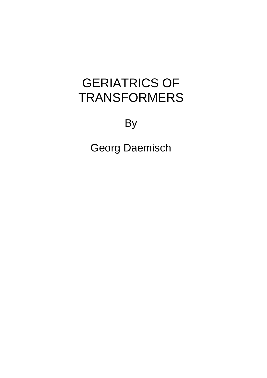# GERIATRICS OF TRANSFORMERS

By

Georg Daemisch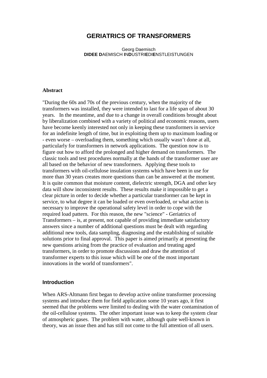# **GERIATRICS OF TRANSFORMERS**

Georg Daemisch **DIDEE D**AEMISCH **I**N**D**USTRI**E**DI**E**NSTLEISTUNGEN

#### **Abstract**

"During the 60s and 70s of the previous century, when the majority of the transformers was installed, they were intended to last for a life span of about 30 years. In the meantime, and due to a change in overall conditions brought about by liberalization combined with a variety of political and economic reasons, users have become keenly interested not only in keeping these transformers in service for an indefinite length of time, but in exploiting them up to maximum loading or - even worse – overloading them, something which usually wasn't done at all, particularly for transformers in network applications. The question now is to figure out how to afford the prolonged and higher demand on transformers. The classic tools and test procedures normally at the hands of the transformer user are all based on the behavior of new transformers. Applying these tools to transformers with oil-cellulose insulation systems which have been in use for more than 30 years creates more questions than can be answered at the moment. It is quite common that moisture content, dielectric strength, DGA and other key data will show inconsistent results. These results make it impossible to get a clear picture in order to decide whether a particular transformer can be kept in service, to what degree it can be loaded or even overloaded, or what action is necessary to improve the operational safety level in order to cope with the required load pattern. For this reason, the new "science" - Geriatrics of Transformers – is, at present, not capable of providing immediate satisfactory answers since a number of additional questions must be dealt with regarding additional new tools, data sampling, diagnosing and the establishing of suitable solutions prior to final approval. This paper is aimed primarily at presenting the new questions arising from the practice of evaluation and treating aged transformers, in order to promote discussions and draw the attention of transformer experts to this issue which will be one of the most important innovations in the world of transformers".

#### **Introduction**

When ARS-Altmann first began to develop active online transformer processing systems and introduce them for field application some 10 years ago, it first seemed that the problems were limited to dealing with the water contamination of the oil-cellulose systems. The other important issue was to keep the system clear of atmospheric gases. The problem with water, although quite well-known in theory, was an issue then and has still not come to the full attention of all users.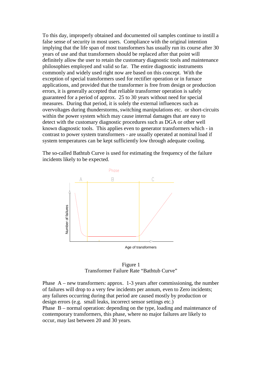To this day, improperly obtained and documented oil samples continue to instill a false sense of security in most users. Compliance with the original intention implying that the life span of most transformers has usually run its course after 30 years of use and that transformers should be replaced after that point will definitely allow the user to retain the customary diagnostic tools and maintenance philosophies employed and valid so far. The entire diagnostic instruments commonly and widely used right now are based on this concept. With the exception of special transformers used for rectifier operation or in furnace applications, and provided that the transformer is free from design or production errors, it is generally accepted that reliable transformer operation is safely guaranteed for a period of approx. 25 to 30 years without need for special measures. During that period, it is solely the external influences such as overvoltages during thunderstorms, switching manipulations etc. or short-circuits within the power system which may cause internal damages that are easy to detect with the customary diagnostic procedures such as DGA or other well known diagnostic tools. This applies even to generator transformers which - in contrast to power system transformers - are usually operated at nominal load if system temperatures can be kept sufficiently low through adequate cooling.

The so-called Bathtub Curve is used for estimating the frequency of the failure incidents likely to be expected.



Figure 1 Transformer Failure Rate "Bathtub Curve"

Phase  $A$  – new transformers: approx. 1-3 years after commissioning, the number of failures will drop to a very few incidents per annum, even to Zero incidents; any failures occurring during that period are caused mostly by production or design errors (e.g. small leaks, incorrect sensor settings etc.) Phase B – normal operation: depending on the type, loading and maintenance of contemporary transformers, this phase, where no major failures are likely to occur, may last between 20 and 30 years. Number of failures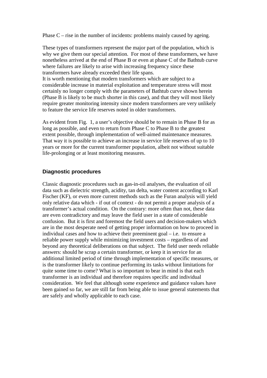Phase  $C$  – rise in the number of incidents: problems mainly caused by ageing.

These types of transformers represent the major part of the population, which is why we give them our special attention. For most of these transformers, we have nonetheless arrived at the end of Phase B or even at phase C of the Bathtub curve where failures are likely to arise with increasing frequency since these transformers have already exceeded their life spans.

It is worth mentioning that modern transformers which are subject to a considerable increase in material exploitation and temperature stress will most certainly no longer comply with the parameters of Bathtub curve shown herein (Phase B is likely to be much shorter in this case), and that they will most likely require greater monitoring intensity since modern transformers are very unlikely to feature the service life reserves noted in older transformers.

As evident from Fig. 1, a user's objective should be to remain in Phase B for as long as possible, and even to return from Phase C to Phase B to the greatest extent possible, through implementation of well-aimed maintenance measures. That way it is possible to achieve an increase in service life reserves of up to 10 years or more for the current transformer population, albeit not without suitable life-prolonging or at least monitoring measures.

#### **Diagnostic procedures**

Classic diagnostic procedures such as gas-in-oil analyses, the evaluation of oil data such as dielectric strength, acidity, tan delta, water content according to Karl Fischer (KF), or even more current methods such as the Furan analysis will yield only relative data which - if out of context - do not permit a proper analysis of a transformer's actual condition. On the contrary: more often than not, these data are even contradictory and may leave the field user in a state of considerable confusion. But it is first and foremost the field users and decision-makers which are in the most desperate need of getting proper information on how to proceed in individual cases and how to achieve their preeminent goal – i.e. to ensure a reliable power supply while minimizing investment costs – regardless of and beyond any theoretical deliberations on that subject. The field user needs reliable answers: should he scrap a certain transformer, or keep it in service for an additional limited period of time through implementation of specific measures, or is the transformer likely to continue performing its tasks without limitations for quite some time to come? What is so important to bear in mind is that each transformer is an individual and therefore requires specific and individual consideration. We feel that although some experience and guidance values have been gained so far, we are still far from being able to issue general statements that are safely and wholly applicable to each case.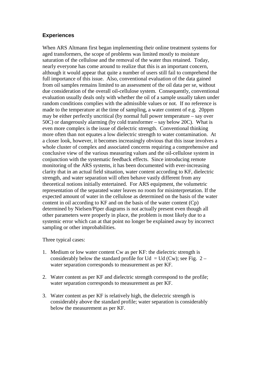### **Experiences**

When ARS Altmann first began implementing their online treatment systems for aged transformers, the scope of problems was limited mostly to moisture saturation of the cellulose and the removal of the water thus retained. Today, nearly everyone has come around to realize that this is an important concern, although it would appear that quite a number of users still fail to comprehend the full importance of this issue. Also, conventional evaluation of the data gained from oil samples remains limited to an assessment of the oil data per se, without due consideration of the overall oil-cellulose system. Consequently, conventional evaluation usually deals only with whether the oil of a sample usually taken under random conditions complies with the admissible values or not. If no reference is made to the temperature at the time of sampling, a water content of e.g. 20ppm may be either perfectly uncritical (by normal full power temperature – say over 50C) or dangerously alarming (by cold transformer – say below 20C). What is even more complex is the issue of dielectric strength. Conventional thinking more often than not equates a low dielectric strength to water contamination. At a closer look, however, it becomes increasingly obvious that this issue involves a whole cluster of complex and associated concerns requiring a comprehensive and conclusive view of the various measuring values and the oil-cellulose system in conjunction with the systematic feedback effects. Since introducing remote monitoring of the ARS systems, it has been documented with ever-increasing clarity that in an actual field situation, water content according to KF, dielectric strength, and water separation will often behave vastly different from any theoretical notions initially entertained. For ARS equipment, the volumetric representation of the separated water leaves no room for misinterpretation. If the expected amount of water in the cellulose as determined on the basis of the water content in oil according to KF and on the basis of the water content (Cp) determined by Nielsen/Piper diagrams is not actually present even though all other parameters were properly in place, the problem is most likely due to a systemic error which can at that point no longer be explained away by incorrect sampling or other improbabilities.

Three typical cases:

- 1. Medium or low water content Cw as per KF: the dielectric strength is considerably below the standard profile for Ud = Ud (Cw); see Fig. 2 – water separation corresponds to measurement as per KF.
- 2. Water content as per KF and dielectric strength correspond to the profile; water separation corresponds to measurement as per KF.
- 3. Water content as per KF is relatively high, the dielectric strength is considerably above the standard profile; water separation is considerably below the measurement as per KF.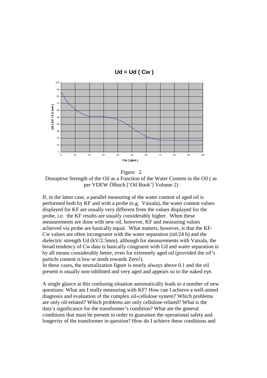

Figure 2 Disruptive Strength of the Oil as a Function of the Water Content in the Oil ( as per VDEW Ölbuch ['Oil Book'] Volume 2)

If, in the latter case, a parallel measuring of the water content of aged oil is performed both by KF and with a probe (e.g. Vaisala), the water content values displayed for KF are usually very different from the values displayed for the probe, i.e. the KF results are usually considerably higher. When these measurements are done with new oil, however, KF and measuring values achieved via probe are basically equal. What matters, however, is that the KF-Cw values are often incongruent with the water separation  $(m)/24$  h) and the dielectric strength Ud (kV/2.5mm), although for measurements with Vaisala, the broad tendency of Cw data is basically congruent with Ud and water separation is by all means considerably better, even for extremely aged oil (provided the oil's particle content is low or tends towards Zero!).

In these cases, the neutralization figure is nearly always above 0.1 and the oil present is usually non-inhibited and very aged and appears so to the naked eye.

A single glance at this confusing situation automatically leads to a number of new questions: What am I really measuring with KF? How can I achieve a well-aimed diagnosis and evaluation of the complex oil-cellulose system? Which problems are only oil-related? Which problems are only cellulose-related? What is the data's significance for the transformer's condition? What are the general conditions that must be present in order to guarantee the operational safety and longevity of the transformer in question? How do I achieve these conditions and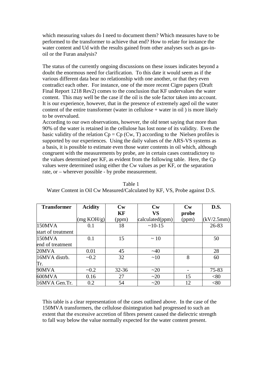which measuring values do I need to document them? Which measures have to be performed to the transformer to achieve that end? How to relate for instance the water content and Ud with the results gained from other analyses such as gas-inoil or the Furan analysis?

The status of the currently ongoing discussions on these issues indicates beyond a doubt the enormous need for clarification. To this date it would seem as if the various different data bear no relationship with one another, or that they even contradict each other. For instance, one of the more recent Cigre papers (Draft Final Report 1218 Rev2) comes to the conclusion that KF undervalues the water content. This may well be the case if the oil is the sole factor taken into account. It is our experience, however, that in the presence of extremely aged oil the water content of the entire transformer (water in cellulose  $+$  water in oil) is more likely to be overvalued.

According to our own observations, however, the old tenet saying that more than 90% of the water is retained in the cellulose has lost none of its validity. Even the basic validity of the relation  $C_p = C_p$  (Cw, T) according to the Nielsen profiles is supported by our experiences. Using the daily values of the ARS-VS systems as a basis, it is possible to estimate even those water contents in oil which, although congruent with the measurements by probe, are in certain cases contradictory to the values determined per KF, as evident from the following table. Here, the Cp values were determined using either the Cw values as per KF, or the separation rate, or – wherever possible - by probe measurement.

| <b>Transformer</b> | <b>Acidity</b> | Cw        | Cw              | Cw    | D.S.       |
|--------------------|----------------|-----------|-----------------|-------|------------|
|                    |                | KF        | <b>VS</b>       | probe |            |
|                    | (mg KOH/g)     | (ppm)     | calculated(ppm) | (ppm) | (kV/2.5mm) |
| 150MVA             | 0.1            | 18        | $~10-15$        |       | 26-83      |
| start of treatment |                |           |                 |       |            |
| 150MVA             | 0.1            | 15        | $\sim$ 10       |       | 50         |
| end of treatment   |                |           |                 |       |            |
| 20MVA              | 0.01           | 45        | $~1$ $~40$      |       | 28         |
| 16MVA distrb.      | $\sim 0.2$     | 32        | ~10             | 8     | 60         |
| Tr.                |                |           |                 |       |            |
| 90MVA              | $\sim 0.2$     | $32 - 36$ | ~20             |       | 75-83      |
| 600MVA             | 0.16           | 27        | ~20             | 15    | <80        |
| 16MVA Gen.Tr.      | 0.2            | 54        | ~20             | 12    | < 80       |

Table 1 Water Content in Oil Cw Measured/Calculated by KF, VS, Probe against D.S.

This table is a clear representation of the cases outlined above. In the case of the 150MVA transformers, the cellulose disintegration had progressed to such an extent that the excessive accretion of fibres present caused the dielectric strength to fall way below the value normally expected for the water content present.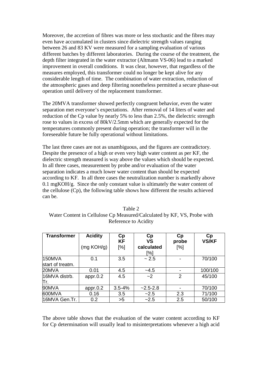Moreover, the accretion of fibres was more or less stochastic and the fibres may even have accumulated in clusters since dielectric strength values ranging between 26 and 83 KV were measured for a sampling evaluation of various different batches by different laboratories. During the course of the treatment, the depth filter integrated in the water extractor (Altmann VS-06) lead to a marked improvement in overall conditions. It was clear, however, that regardless of the measures employed, this transformer could no longer be kept alive for any considerable length of time. The combination of water extraction, reduction of the atmospheric gases and deep filtering nonetheless permitted a secure phase-out operation until delivery of the replacement transformer.

The 20MVA transformer showed perfectly congruent behavior, even the water separation met everyone's expectations. After removal of 14 liters of water and reduction of the Cp value by nearly 5% to less than 2.5%, the dielectric strength rose to values in excess of 80kV/2.5mm which are generally expected for the temperatures commonly present during operation; the transformer will in the foreseeable future be fully operational without limitations.

The last three cases are not as unambiguous, and the figures are contradictory. Despite the presence of a high or even very high water content as per KF, the dielectric strength measured is way above the values which should be expected. In all three cases, measurement by probe and/or evaluation of the water separation indicates a much lower water content than should be expected according to KF. In all three cases the neutralization number is markedly above 0.1 mgKOH/g. Since the only constant value is ultimately the water content of the cellulose (Cp), the following table shows how different the results achieved can be.

| Table 2                                                                 |  |  |  |  |  |  |
|-------------------------------------------------------------------------|--|--|--|--|--|--|
| Water Content in Cellulose Cp Measured/Calculated by KF, VS, Probe with |  |  |  |  |  |  |
| Reference to Acidity                                                    |  |  |  |  |  |  |
|                                                                         |  |  |  |  |  |  |

| <b>Transformer</b> | <b>Acidity</b> | Cp<br><b>KF</b> | Cp<br><b>VS</b>   | Cp<br>probe    | Cp<br><b>VS/KF</b> |
|--------------------|----------------|-----------------|-------------------|----------------|--------------------|
|                    | (mg KOH/g)     | [%]             | calculated<br>[%] | $[\%]$         |                    |
| 150MVA             | 0.1            | 3.5             | ~2.5              |                | 70/100             |
| start of treatm.   |                |                 |                   |                |                    |
| 20MVA              | 0.01           | 4.5             | $-4.5$            |                | 100/100            |
| 16MVA distrb.      | appr.0.2       | 4.5             | ~2                | $\overline{2}$ | 45/100             |
| Πr.                |                |                 |                   |                |                    |
| 90MVA              | appr.0.2       | $3.5 - 4%$      | $-2.5 - 2.8$      |                | 70/100             |
| 600MVA             | 0.16           | 3.5             | ~2.5              | 2.3            | 71/100             |
| 16MVA Gen.Tr.      | 0.2            | >5              | $-2.5$            | 2.5            | 50/100             |

The above table shows that the evaluation of the water content according to KF for Cp determination will usually lead to misinterpretations whenever a high acid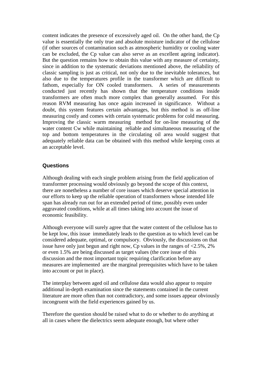content indicates the presence of excessively aged oil. On the other hand, the Cp value is essentially the only true and absolute moisture indicator of the cellulose (if other sources of contamination such as atmospheric humidity or cooling water can be excluded, the Cp value can also serve as an excellent ageing indicator). But the question remains how to obtain this value with any measure of certainty, since in addition to the systematic deviations mentioned above, the reliability of classic sampling is just as critical, not only due to the inevitable tolerances, but also due to the temperatures profile in the transformer which are difficult to fathom, especially for ON cooled transformers. A series of measurements conducted just recently has shown that the temperature conditions inside transformers are often much more complex than generally assumed. For this reason RVM measuring has once again increased in significance. Without a doubt, this system features certain advantages, but this method is as off-line measuring costly and comes with certain systematic problems for cold measuring. Improving the classic warm measuring method for on-line measuring of the water content Cw while maintaining reliable and simultaneous measuring of the top and bottom temperatures in the circulating oil area would suggest that adequately reliable data can be obtained with this method while keeping costs at an acceptable level.

#### **Questions**

Although dealing with each single problem arising from the field application of transformer processing would obviously go beyond the scope of this context, there are nonetheless a number of core issues which deserve special attention in our efforts to keep up the reliable operation of transformers whose intended life span has already run out for an extended period of time, possibly even under aggravated conditions, while at all times taking into account the issue of economic feasibility.

Although everyone will surely agree that the water content of the cellulose has to be kept low, this issue immediately leads to the question as to which level can be considered adequate, optimal, or compulsory. Obviously, the discussions on that issue have only just begun and right now, Cp values in the ranges of  $\langle 2.5\%, 2\% \rangle$ or even 1.5% are being discussed as target values (the core issue of this discussion and the most important topic requiring clarification before any measures are implemented are the marginal prerequisites which have to be taken into account or put in place).

The interplay between aged oil and cellulose data would also appear to require additional in-depth examination since the statements contained in the current literature are more often than not contradictory, and some issues appear obviously incongruent with the field experiences gained by us.

Therefore the question should be raised what to do or whether to do anything at all in cases where the dielectrics seem adequate enough, but where other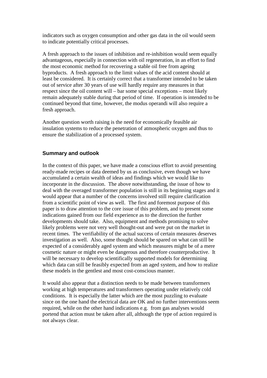indicators such as oxygen consumption and other gas data in the oil would seem to indicate potentially critical processes.

A fresh approach to the issues of inhibition and re-inhibition would seem equally advantageous, especially in connection with oil regeneration, in an effort to find the most economic method for recovering a stable oil free from ageing byproducts. A fresh approach to the limit values of the acid content should at least be considered. It is certainly correct that a transformer intended to be taken out of service after 30 years of use will hardly require any measures in that respect since the oil content will – bar some special exceptions – most likely remain adequately stable during that period of time. If operation is intended to be continued beyond that time, however, the modus operandi will also require a fresh approach.

Another question worth raising is the need for economically feasible air insulation systems to reduce the penetration of atmospheric oxygen and thus to ensure the stabilization of a processed system.

## **Summary and outlook**

In the context of this paper, we have made a conscious effort to avoid presenting ready-made recipes or data deemed by us as conclusive, even though we have accumulated a certain wealth of ideas and findings which we would like to incorporate in the discussion. The above notwithstanding, the issue of how to deal with the overaged transformer population is still in its beginning stages and it would appear that a number of the concerns involved still require clarification from a scientific point of view as well. The first and foremost purpose of this paper is to draw attention to the core issue of this problem, and to present some indications gained from our field experience as to the direction the further developments should take. Also, equipment and methods promising to solve likely problems were not very well thought-out and were put on the market in recent times. The verifiability of the actual success of certain measures deserves investigation as well. Also, some thought should be spared on what can still be expected of a considerably aged system and which measures might be of a mere cosmetic nature or might even be dangerous and therefore counterproductive. It will be necessary to develop scientifically supported models for determining which data can still be feasibly expected from an aged system, and how to realize these models in the gentlest and most cost-conscious manner.

It would also appear that a distinction needs to be made between transformers working at high temperatures and transformers operating under relatively cold conditions. It is especially the latter which are the most puzzling to evaluate since on the one hand the electrical data are OK and no further interventions seem required, while on the other hand indications e.g. from gas analyses would portend that action must be taken after all, although the type of action required is not always clear.